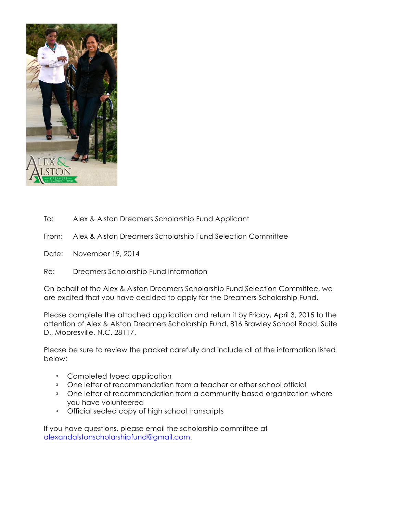

To: Alex & Alston Dreamers Scholarship Fund Applicant

From: Alex & Alston Dreamers Scholarship Fund Selection Committee

Date: November 19, 2014

Re: Dreamers Scholarship Fund information

On behalf of the Alex & Alston Dreamers Scholarship Fund Selection Committee, we are excited that you have decided to apply for the Dreamers Scholarship Fund.

Please complete the attached application and return it by Friday, April 3, 2015 to the attention of Alex & Alston Dreamers Scholarship Fund, 816 Brawley School Road, Suite D., Mooresville, N.C. 28117.

Please be sure to review the packet carefully and include all of the information listed below:

- **EXECOMPLETED THEORY COMPLETED FIGURE**
- **.** One letter of recommendation from a teacher or other school official
- <sup>1</sup> One letter of recommendation from a community-based organization where you have volunteered
- **Dedical sealed copy of high school transcripts**

If you have questions, please email the scholarship committee at alexandalstonscholarshipfund@gmail.com.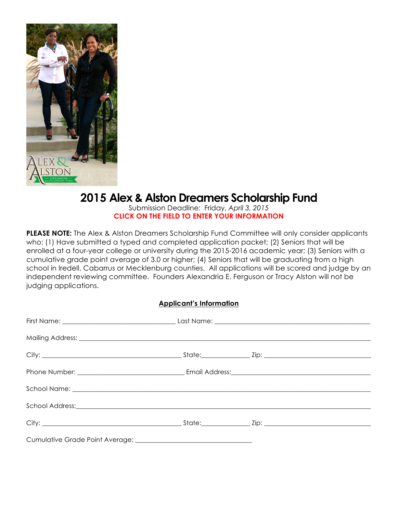

# **2015 Alex & Alston Dreamers Scholarship Fund**

Submission Deadline: Friday, *April 3, 2015* **CLICK ON THE FIELD TO ENTER YOUR INFORMATION**

**PLEASE NOTE:** The Alex & Alston Dreamers Scholarship Fund Committee will only consider applicants who: (1) Have submitted a typed and completed application packet; (2) Seniors that will be enrolled at a four-year college or university during the 2015-2016 academic year; (3) Seniors with a cumulative grade point average of 3.0 or higher; (4) Seniors that will be graduating from a high school in Iredell, Cabarrus or Mecklenburg counties. All applications will be scored and judge by an independent reviewing committee. Founders Alexandria E. Ferguson or Tracy Alston will not be judging applications.

#### **Applicant's Information**

| Mailing Address: <u>Committee and Committee and Committee and Committee and Committee and Committee and Committee</u> |  |
|-----------------------------------------------------------------------------------------------------------------------|--|
|                                                                                                                       |  |
|                                                                                                                       |  |
|                                                                                                                       |  |
|                                                                                                                       |  |
|                                                                                                                       |  |
|                                                                                                                       |  |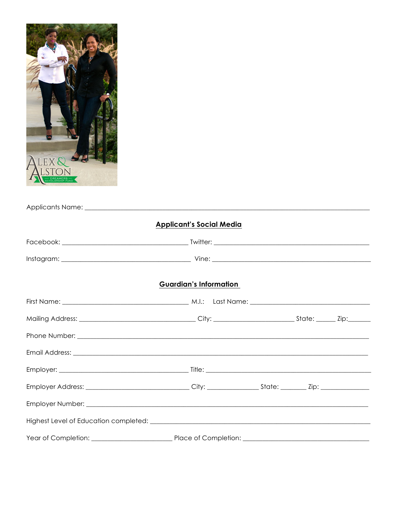

| <b>Applicant's Social Media</b> |  |  |  |  |  |  |
|---------------------------------|--|--|--|--|--|--|
|                                 |  |  |  |  |  |  |
|                                 |  |  |  |  |  |  |
| <b>Guardian's Information</b>   |  |  |  |  |  |  |
|                                 |  |  |  |  |  |  |
|                                 |  |  |  |  |  |  |
|                                 |  |  |  |  |  |  |
|                                 |  |  |  |  |  |  |
|                                 |  |  |  |  |  |  |
|                                 |  |  |  |  |  |  |
|                                 |  |  |  |  |  |  |
|                                 |  |  |  |  |  |  |
|                                 |  |  |  |  |  |  |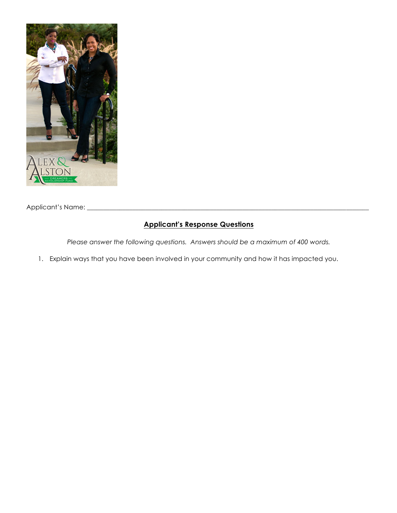

Applicant's Name: \_\_\_\_\_\_\_\_\_\_\_\_\_\_\_\_\_\_\_\_\_\_\_\_\_\_\_\_\_\_\_\_\_\_\_\_\_\_\_\_\_\_\_\_\_\_\_\_\_\_\_\_\_\_\_\_\_\_\_\_\_\_\_\_\_\_\_\_\_\_\_\_\_\_\_\_\_\_\_\_\_\_\_\_\_\_\_

#### **Applicant's Response Questions**

*Please answer the following questions. Answers should be a maximum of 400 words.*

1. Explain ways that you have been involved in your community and how it has impacted you.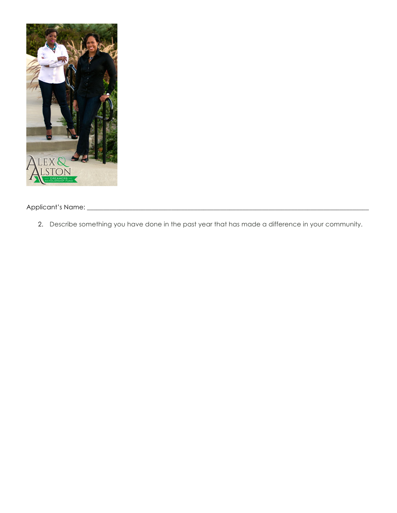

Applicant's Name: \_\_\_\_\_\_\_\_\_\_\_\_\_\_\_\_\_\_\_\_\_\_\_\_\_\_\_\_\_\_\_\_\_\_\_\_\_\_\_\_\_\_\_\_\_\_\_\_\_\_\_\_\_\_\_\_\_\_\_\_\_\_\_\_\_\_\_\_\_\_\_\_\_\_\_\_\_\_\_\_\_\_\_\_\_\_\_

2. Describe something you have done in the past year that has made a difference in your community.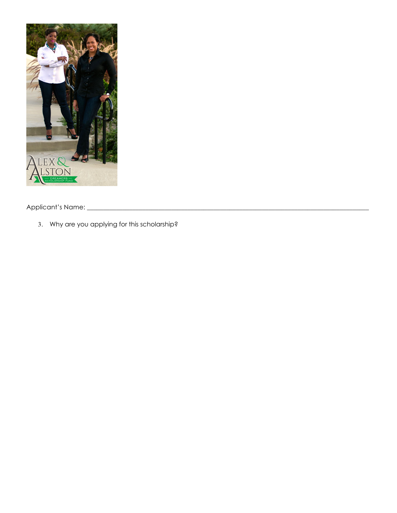

Applicant's Name: \_\_\_\_\_\_\_\_\_\_\_\_\_\_\_\_\_\_\_\_\_\_\_\_\_\_\_\_\_\_\_\_\_\_\_\_\_\_\_\_\_\_\_\_\_\_\_\_\_\_\_\_\_\_\_\_\_\_\_\_\_\_\_\_\_\_\_\_\_\_\_\_\_\_\_\_\_\_\_\_\_\_\_\_\_\_\_

3. Why are you applying for this scholarship?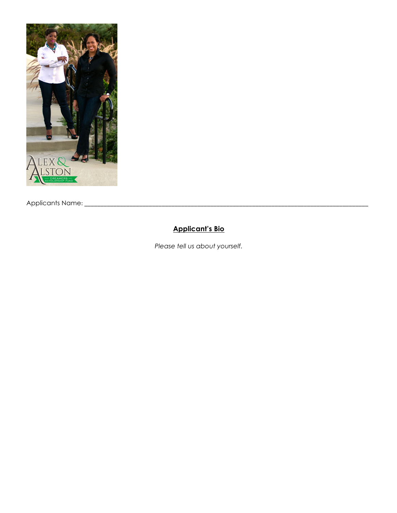

Applicants Name:!\_\_\_\_\_\_\_\_\_\_\_\_\_\_\_\_\_\_\_\_\_\_\_\_\_\_\_\_\_\_\_\_\_\_\_\_\_\_\_\_\_\_\_\_\_\_\_\_\_\_\_\_\_\_\_\_\_\_\_\_\_\_\_\_\_\_\_\_\_\_\_\_\_\_\_\_\_\_\_\_\_\_\_\_\_\_\_\_

### **Applicant's Bio**

*Please tell us about yourself.*